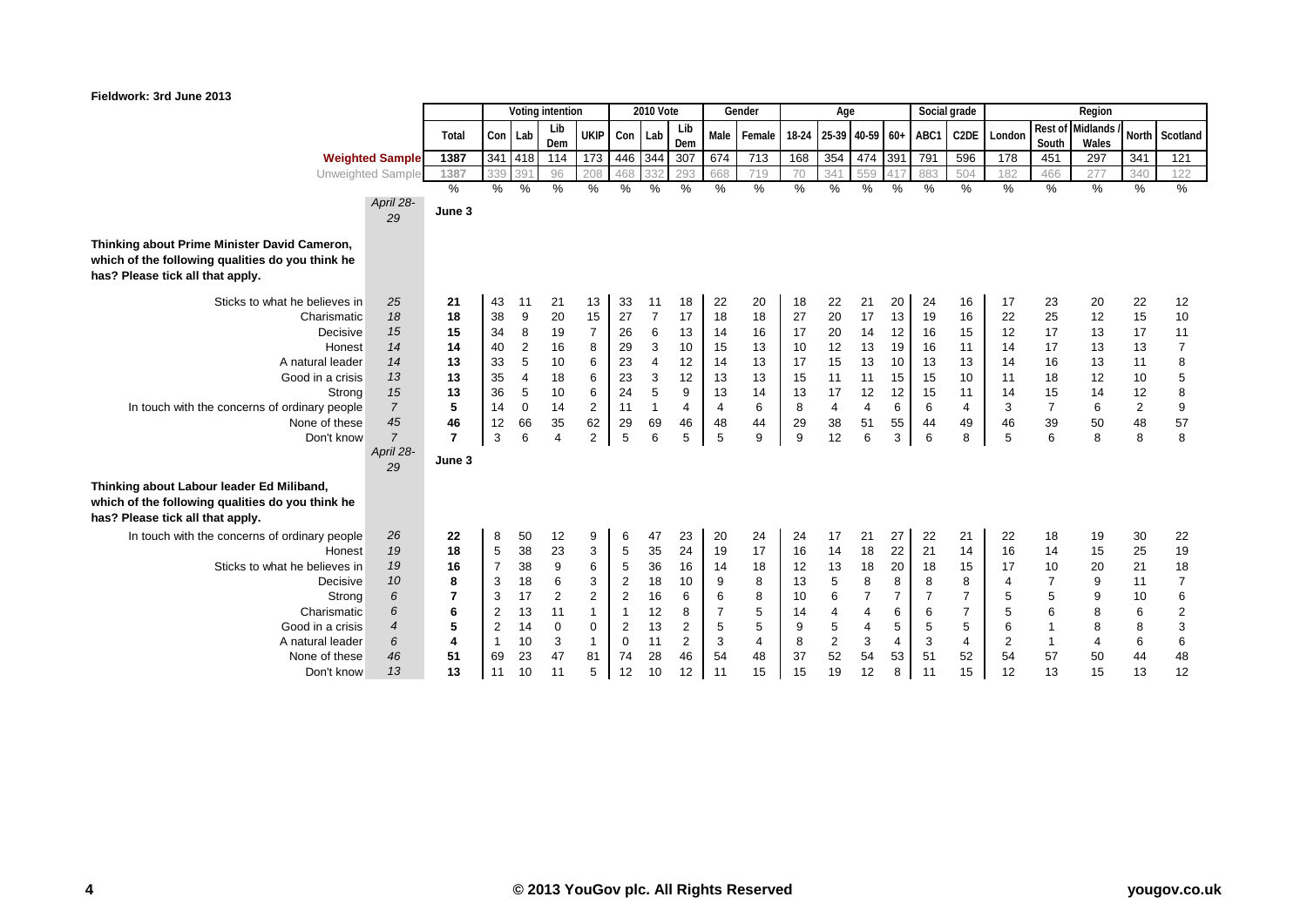## **Fieldwork: 3rd June 2013**

|                                                                                                                                   |                 | Voting intention |                |               |                |                | 2010 Vote      |                |                | Gender         | Age            |               |                |                |      | Social grade | Region            |                |                  |                   |                |                |
|-----------------------------------------------------------------------------------------------------------------------------------|-----------------|------------------|----------------|---------------|----------------|----------------|----------------|----------------|----------------|----------------|----------------|---------------|----------------|----------------|------|--------------|-------------------|----------------|------------------|-------------------|----------------|----------------|
|                                                                                                                                   |                 | Total            | Con            | Lab           | Lib<br>Dem     | <b>UKIP</b>    | Con            | Lab            | Lib<br>Dem     | Male I         | Female         | 18-24         | 25-39          | $40-59$ 60+    |      | ABC1         | C <sub>2</sub> DE | London         | Rest of<br>South | Midlands<br>Wales |                | North Scotland |
| <b>Weighted Sample</b>                                                                                                            |                 | 1387             |                | 341 418       | 114            | 173            | 446            | 344            | 307            | 674            | 713            | 168           | 354            | 474 391        |      | 791          | 596               | 178            | 451              | 297               | 341            | 121            |
| Unweighted Sample                                                                                                                 |                 | 1387             | 339            | 391           | 96             | 208            | 468            | 332            | 293            | 668            | 719            | 70            | 341            | 559            |      | 883          | 504               | 182            | 466              | 277               | 340            | 122            |
|                                                                                                                                   |                 | $\frac{0}{0}$    | $\%$           | $\frac{0}{0}$ | $\%$           | $\%$           | $\%$           | $\%$           | $\%$           | $\%$           | $\%$           | $\frac{0}{0}$ | $\%$           | %              | $\%$ | $\%$         | $\%$              | $\%$           | $\%$             | $\%$              | $\%$           | $\frac{9}{6}$  |
|                                                                                                                                   | April 28-<br>29 | June 3           |                |               |                |                |                |                |                |                |                |               |                |                |      |              |                   |                |                  |                   |                |                |
| Thinking about Prime Minister David Cameron,                                                                                      |                 |                  |                |               |                |                |                |                |                |                |                |               |                |                |      |              |                   |                |                  |                   |                |                |
| which of the following qualities do you think he                                                                                  |                 |                  |                |               |                |                |                |                |                |                |                |               |                |                |      |              |                   |                |                  |                   |                |                |
| has? Please tick all that apply.                                                                                                  |                 |                  |                |               |                |                |                |                |                |                |                |               |                |                |      |              |                   |                |                  |                   |                |                |
| Sticks to what he believes in                                                                                                     | 25              | 21               | 43             | 11            | 21             | 13             | 33             | 11             | 18             | 22             | 20             | 18            | 22             | 21             | 20   | 24           | 16                | 17             | 23               | 20                | 22             | 12             |
| Charismatic                                                                                                                       | 18              | 18               | 38             | 9             | 20             | 15             | 27             | $\overline{7}$ | 17             | 18             | 18             | 27            | 20             | 17             | 13   | 19           | 16                | 22             | 25               | 12                | 15             | 10             |
| Decisive                                                                                                                          | 15              | 15               | 34             | 8             | 19             | $\overline{7}$ | 26             | 6              | 13             | 14             | 16             | 17            | 20             | 14             | 12   | 16           | 15                | 12             | 17               | 13                | 17             | 11             |
| Honest                                                                                                                            | 14              | 14               | 40             | 2             | 16             | 8              | 29             | 3              | 10             | 15             | 13             | 10            | 12             | 13             | 19   | 16           | 11                | 14             | 17               | 13                | 13             | $\overline{7}$ |
| A natural leader                                                                                                                  | 14              | 13               | 33             | 5             | 10             | 6              | 23             | $\overline{4}$ | 12             | 14             | 13             | 17            | 15             | 13             | 10   | 13           | 13                | 14             | 16               | 13                | 11             | 8              |
| Good in a crisis                                                                                                                  | 13              | 13               | 35             | 4             | 18             | 6              | 23             | 3              | 12             | 13             | 13             | 15            | 11             | 11             | 15   | 15           | 10                | 11             | 18               | 12                | 10             | 5              |
| Strong                                                                                                                            | 15              | 13               | 36             | 5             | 10             | 6              | 24             | 5              | 9              | 13             | 14             | 13            | 17             | 12             | 12   | 15           | 11                | 14             | 15               | 14                | 12             | 8              |
| In touch with the concerns of ordinary people                                                                                     | $\overline{7}$  | 5                | 14             | 0             | 14             | $\overline{2}$ | 11             | $\mathbf{1}$   | $\overline{4}$ | $\overline{4}$ | 6              | 8             | 4              | 4              | 6    | 6            | 4                 | 3              | $\overline{7}$   | 6                 | $\overline{c}$ | 9              |
| None of these                                                                                                                     | 45              | 46               | 12             | 66            | 35             | 62             | 29             | 69             | 46             | 48             | 44             | 29            | 38             | 51             | 55   | 44           | 49                | 46             | 39               | 50                | 48             | 57             |
| Don't know                                                                                                                        | $\overline{7}$  | $\overline{7}$   | 3              | 6             | $\overline{a}$ | $\overline{2}$ | 5              | 6              | 5              | 5              | 9              | 9             | 12             | 6              | 3    | 6            | 8                 | 5              | 6                | 8                 | 8              | 8              |
|                                                                                                                                   | April 28-<br>29 | June 3           |                |               |                |                |                |                |                |                |                |               |                |                |      |              |                   |                |                  |                   |                |                |
| Thinking about Labour leader Ed Miliband,<br>which of the following qualities do you think he<br>has? Please tick all that apply. |                 |                  |                |               |                |                |                |                |                |                |                |               |                |                |      |              |                   |                |                  |                   |                |                |
| In touch with the concerns of ordinary people                                                                                     | 26              | 22               | 8              | 50            | 12             | 9              | 6              | 47             | 23             | 20             | 24             | 24            | 17             | 21             | 27   | 22           | 21                | 22             | 18               | 19                | 30             | 22             |
| Honest                                                                                                                            | 19              | 18               | 5              | 38            | 23             | 3              | 5              | 35             | 24             | 19             | 17             | 16            | 14             | 18             | 22   | 21           | 14                | 16             | 14               | 15                | 25             | 19             |
| Sticks to what he believes in                                                                                                     | 19              | 16               | $\overline{7}$ | 38            | 9              | 6              | 5              | 36             | 16             | 14             | 18             | 12            | 13             | 18             | 20   | 18           | 15                | 17             | 10               | 20                | 21             | 18             |
| Decisive                                                                                                                          | 10              | 8                | 3              | 18            | 6              | 3              | $\overline{2}$ | 18             | 10             | 9              | 8              | 13            | 5              | 8              | 8    | 8            | 8                 | $\overline{4}$ | $\overline{7}$   | 9                 | 11             | $\overline{7}$ |
| Strong                                                                                                                            | 6               | $\overline{7}$   | 3              | 17            | $\overline{2}$ | $\overline{c}$ | $\overline{2}$ | 16             | 6              | 6              | 8              | 10            | 6              | $\overline{7}$ | 7    | 7            | $\overline{7}$    | 5              | 5                | 9                 | 10             | 6              |
| Charismatic                                                                                                                       | 6               | 6                | 2              | 13            | 11             | $\mathbf{1}$   | $\overline{1}$ | 12             | 8              | $\overline{7}$ | 5              | 14            | $\overline{4}$ | $\overline{4}$ | 6    | 6            | $\overline{7}$    | 5              | 6                | 8                 | 6              | $\overline{2}$ |
| Good in a crisis                                                                                                                  | $\overline{4}$  | 5                | $\overline{2}$ | 14            | $\mathbf 0$    | 0              | $\overline{2}$ | 13             | 2              | 5              | 5              | 9             | 5              | 4              | 5    | 5            | 5                 | 6              | 1                | 8                 | 8              | 3              |
| A natural leader                                                                                                                  | 6               | $\overline{4}$   |                | 10            | 3              | $\mathbf{1}$   | $\mathbf 0$    | 11             | 2              | 3              | $\overline{4}$ | 8             | $\overline{c}$ | 3              | 4    | 3            | $\overline{4}$    | $\overline{2}$ | $\mathbf 1$      | $\overline{4}$    | 6              | 6              |
| None of these                                                                                                                     | 46              | 51               | 69             | 23            | 47             | 81             | 74             | 28             | 46             | 54             | 48             | 37            | 52             | 54             | 53   | 51           | 52                | 54             | 57               | 50                | 44             | 48             |
| Don't know                                                                                                                        | 13              | 13               | 11             | 10            | 11             | 5              | 12             | 10             | 12             | 11             | 15             | 15            | 19             | 12             | 8    | 11           | 15                | 12             | 13               | 15                | 13             | 12             |